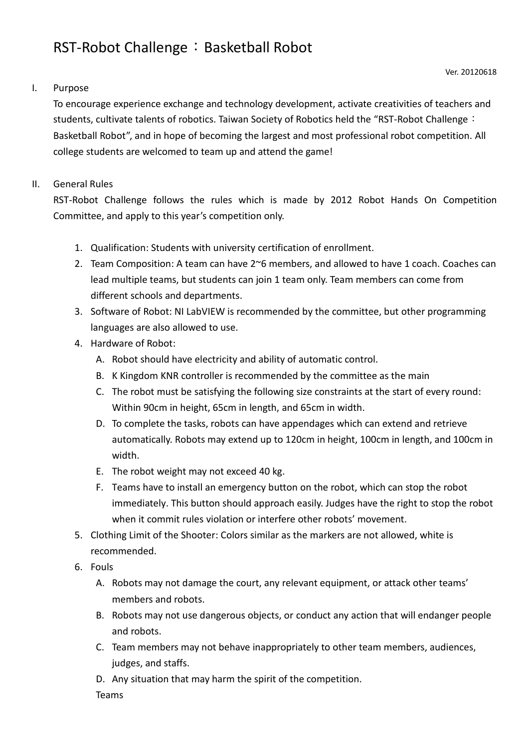# RST-Robot Challenge: Basketball Robot

## I. Purpose

To encourage experience exchange and technology development, activate creativities of teachers and students, cultivate talents of robotics. Taiwan Society of Robotics held the "RST-Robot Challenge: Basketball Robot", and in hope of becoming the largest and most professional robot competition. All college students are welcomed to team up and attend the game!

### II. General Rules

RST-Robot Challenge follows the rules which is made by 2012 Robot Hands On Competition Committee, and apply to this year's competition only.

- 1. Qualification: Students with university certification of enrollment.
- 2. Team Composition: A team can have 2~6 members, and allowed to have 1 coach. Coaches can lead multiple teams, but students can join 1 team only. Team members can come from different schools and departments.
- 3. Software of Robot: NI LabVIEW is recommended by the committee, but other programming languages are also allowed to use.
- 4. Hardware of Robot:
	- A. Robot should have electricity and ability of automatic control.
	- B. K Kingdom KNR controller is recommended by the committee as the main
	- C. The robot must be satisfying the following size constraints at the start of every round: Within 90cm in height, 65cm in length, and 65cm in width.
	- D. To complete the tasks, robots can have appendages which can extend and retrieve automatically. Robots may extend up to 120cm in height, 100cm in length, and 100cm in width.
	- E. The robot weight may not exceed 40 kg.
	- F. Teams have to install an emergency button on the robot, which can stop the robot immediately. This button should approach easily. Judges have the right to stop the robot when it commit rules violation or interfere other robots' movement.
- 5. Clothing Limit of the Shooter: Colors similar as the markers are not allowed, white is recommended.
- 6. Fouls
	- A. Robots may not damage the court, any relevant equipment, or attack other teams' members and robots.
	- B. Robots may not use dangerous objects, or conduct any action that will endanger people and robots.
	- C. Team members may not behave inappropriately to other team members, audiences, judges, and staffs.
	- D. Any situation that may harm the spirit of the competition.

Teams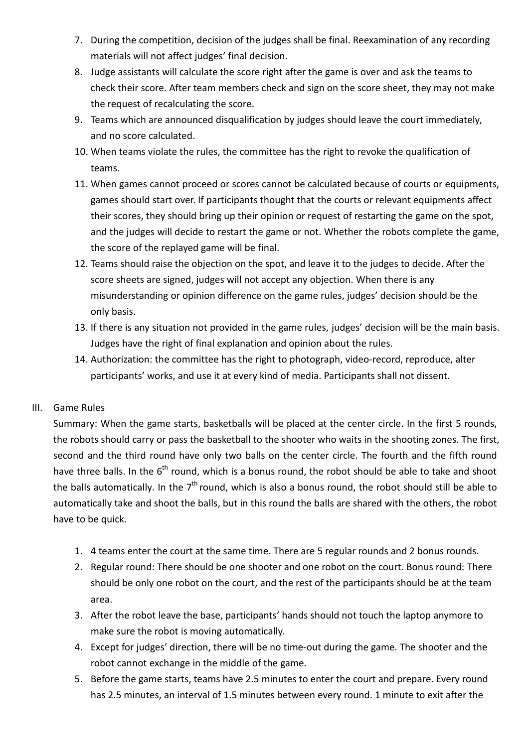- 7. During the competition, decision of the judges shall be final. Reexamination of any recording materials will not affect judges' final decision.
- 8. Judge assistants will calculate the score right after the game is over and ask the teams to check their score. After team members check and sign on the score sheet, they may not make the request of recalculating the score.
- 9. Teams which are announced disqualification by judges should leave the court immediately, and no score calculated.
- 10. When teams violate the rules, the committee has the right to revoke the qualification of teams.
- 11. When games cannot proceed or scores cannot be calculated because of courts or equipments, games should start over. If participants thought that the courts or relevant equipments affect their scores, they should bring up their opinion or request of restarting the game on the spot, and the judges will decide to restart the game or not. Whether the robots complete the game, the score of the replayed game will be final.
- 12. Teams should raise the objection on the spot, and leave it to the judges to decide. After the score sheets are signed, judges will not accept any objection. When there is any misunderstanding or opinion difference on the game rules, judges' decision should be the only basis.
- 13. If there is any situation not provided in the game rules, judges' decision will be the main basis. Judges have the right of final explanation and opinion about the rules.
- 14. Authorization: the committee has the right to photograph, video-record, reproduce, alter participants' works, and use it at every kind of media. Participants shall not dissent.

## III. Game Rules

Summary: When the game starts, basketballs will be placed at the center circle. In the first 5 rounds, the robots should carry or pass the basketball to the shooter who waits in the shooting zones. The first, second and the third round have only two balls on the center circle. The fourth and the fifth round have three balls. In the  $6<sup>th</sup>$  round, which is a bonus round, the robot should be able to take and shoot the balls automatically. In the  $7<sup>th</sup>$  round, which is also a bonus round, the robot should still be able to automatically take and shoot the balls, but in this round the balls are shared with the others, the robot have to be quick.

- 1. 4 teams enter the court at the same time. There are 5 regular rounds and 2 bonus rounds.
- 2. Regular round: There should be one shooter and one robot on the court. Bonus round: There should be only one robot on the court, and the rest of the participants should be at the team area.
- 3. After the robot leave the base, participants' hands should not touch the laptop anymore to make sure the robot is moving automatically.
- 4. Except for judges' direction, there will be no time-out during the game. The shooter and the robot cannot exchange in the middle of the game.
- 5. Before the game starts, teams have 2.5 minutes to enter the court and prepare. Every round has 2.5 minutes, an interval of 1.5 minutes between every round. 1 minute to exit after the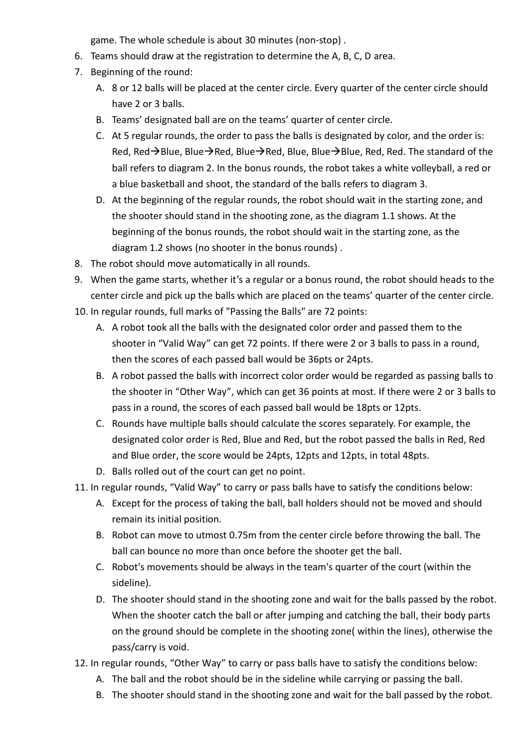game. The whole schedule is about 30 minutes (non-stop) .

- 6. Teams should draw at the registration to determine the A, B, C, D area.
- 7. Beginning of the round:
	- A. 8 or 12 balls will be placed at the center circle. Every quarter of the center circle should have 2 or 3 balls.
	- B. Teams' designated ball are on the teams' quarter of center circle.
	- C. At 5 regular rounds, the order to pass the balls is designated by color, and the order is: Red, Red $\rightarrow$ Blue, Blue $\rightarrow$ Red, Blue $\rightarrow$ Red, Blue, Blue $\rightarrow$ Blue, Red, Red. The standard of the ball refers to diagram 2. In the bonus rounds, the robot takes a white volleyball, a red or a blue basketball and shoot, the standard of the balls refers to diagram 3.
	- D. At the beginning of the regular rounds, the robot should wait in the starting zone, and the shooter should stand in the shooting zone, as the diagram 1.1 shows. At the beginning of the bonus rounds, the robot should wait in the starting zone, as the diagram 1.2 shows (no shooter in the bonus rounds) .
- 8. The robot should move automatically in all rounds.
- 9. When the game starts, whether it's a regular or a bonus round, the robot should heads to the center circle and pick up the balls which are placed on the teams' quarter of the center circle.
- 10. In regular rounds, full marks of "Passing the Balls" are 72 points:
	- A. A robot took all the balls with the designated color order and passed them to the shooter in "Valid Way" can get 72 points. If there were 2 or 3 balls to pass in a round, then the scores of each passed ball would be 36pts or 24pts.
	- B. A robot passed the balls with incorrect color order would be regarded as passing balls to the shooter in "Other Way", which can get 36 points at most. If there were 2 or 3 balls to pass in a round, the scores of each passed ball would be 18pts or 12pts.
	- C. Rounds have multiple balls should calculate the scores separately. For example, the designated color order is Red, Blue and Red, but the robot passed the balls in Red, Red and Blue order, the score would be 24pts, 12pts and 12pts, in total 48pts.
	- D. Balls rolled out of the court can get no point.
- 11. In regular rounds, "Valid Way" to carry or pass balls have to satisfy the conditions below:
	- A. Except for the process of taking the ball, ball holders should not be moved and should remain its initial position.
	- B. Robot can move to utmost 0.75m from the center circle before throwing the ball. The ball can bounce no more than once before the shooter get the ball.
	- C. Robot's movements should be always in the team's quarter of the court (within the sideline).
	- D. The shooter should stand in the shooting zone and wait for the balls passed by the robot. When the shooter catch the ball or after jumping and catching the ball, their body parts on the ground should be complete in the shooting zone( within the lines), otherwise the pass/carry is void.
- 12. In regular rounds, "Other Way" to carry or pass balls have to satisfy the conditions below:
	- A. The ball and the robot should be in the sideline while carrying or passing the ball.
	- B. The shooter should stand in the shooting zone and wait for the ball passed by the robot.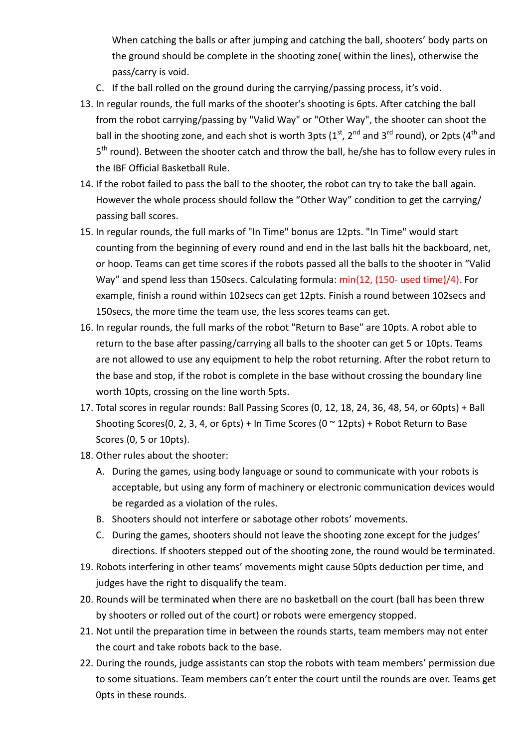When catching the balls or after jumping and catching the ball, shooters' body parts on the ground should be complete in the shooting zone( within the lines), otherwise the pass/carry is void.

- C. If the ball rolled on the ground during the carrying/passing process, it's void.
- 13. In regular rounds, the full marks of the shooter's shooting is 6pts. After catching the ball from the robot carrying/passing by "Valid Way" or "Other Way", the shooter can shoot the ball in the shooting zone, and each shot is worth 3pts ( $1<sup>st</sup>$ , 2<sup>nd</sup> and 3<sup>rd</sup> round), or 2pts (4<sup>th</sup> and 5<sup>th</sup> round). Between the shooter catch and throw the ball, he/she has to follow every rules in the IBF Official Basketball Rule.
- 14. If the robot failed to pass the ball to the shooter, the robot can try to take the ball again. However the whole process should follow the "Other Way" condition to get the carrying/ passing ball scores.
- 15. In regular rounds, the full marks of "In Time" bonus are 12pts. "In Time" would start counting from the beginning of every round and end in the last balls hit the backboard, net, or hoop. Teams can get time scores if the robots passed all the balls to the shooter in "Valid Way" and spend less than 150secs. Calculating formula: min{12, (150- used time)/4}. For example, finish a round within 102secs can get 12pts. Finish a round between 102secs and 150secs, the more time the team use, the less scores teams can get.
- 16. In regular rounds, the full marks of the robot "Return to Base" are 10pts. A robot able to return to the base after passing/carrying all balls to the shooter can get 5 or 10pts. Teams are not allowed to use any equipment to help the robot returning. After the robot return to the base and stop, if the robot is complete in the base without crossing the boundary line worth 10pts, crossing on the line worth 5pts.
- 17. Total scores in regular rounds: Ball Passing Scores (0, 12, 18, 24, 36, 48, 54, or 60pts) + Ball Shooting Scores(0, 2, 3, 4, or 6pts) + In Time Scores (0  $\sim$  12pts) + Robot Return to Base Scores (0, 5 or 10pts).
- 18. Other rules about the shooter:
	- A. During the games, using body language or sound to communicate with your robots is acceptable, but using any form of machinery or electronic communication devices would be regarded as a violation of the rules.
	- B. Shooters should not interfere or sabotage other robots' movements.
	- C. During the games, shooters should not leave the shooting zone except for the judges' directions. If shooters stepped out of the shooting zone, the round would be terminated.
- 19. Robots interfering in other teams' movements might cause 50pts deduction per time, and judges have the right to disqualify the team.
- 20. Rounds will be terminated when there are no basketball on the court (ball has been threw by shooters or rolled out of the court) or robots were emergency stopped.
- 21. Not until the preparation time in between the rounds starts, team members may not enter the court and take robots back to the base.
- 22. During the rounds, judge assistants can stop the robots with team members' permission due to some situations. Team members can't enter the court until the rounds are over. Teams get 0pts in these rounds.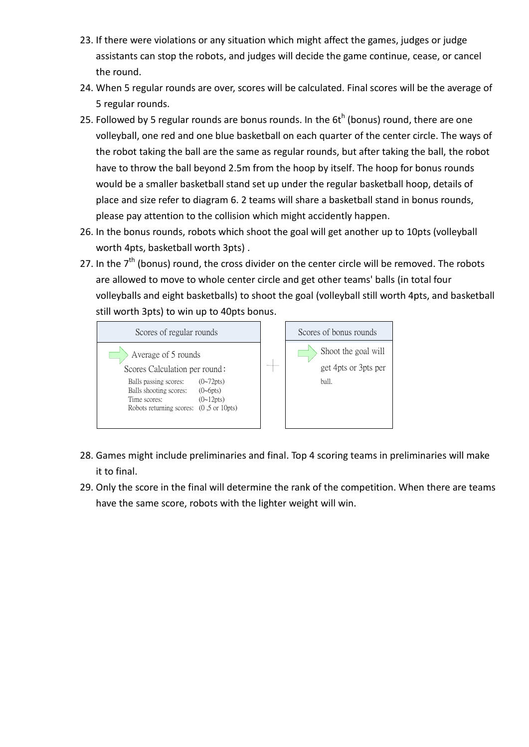- 23. If there were violations or any situation which might affect the games, judges or judge assistants can stop the robots, and judges will decide the game continue, cease, or cancel the round.
- 24. When 5 regular rounds are over, scores will be calculated. Final scores will be the average of 5 regular rounds.
- 25. Followed by 5 regular rounds are bonus rounds. In the  $6t<sup>h</sup>$  (bonus) round, there are one volleyball, one red and one blue basketball on each quarter of the center circle. The ways of the robot taking the ball are the same as regular rounds, but after taking the ball, the robot have to throw the ball beyond 2.5m from the hoop by itself. The hoop for bonus rounds would be a smaller basketball stand set up under the regular basketball hoop, details of place and size refer to diagram 6. 2 teams will share a basketball stand in bonus rounds, please pay attention to the collision which might accidently happen.
- 26. In the bonus rounds, robots which shoot the goal will get another up to 10pts (volleyball worth 4pts, basketball worth 3pts) .
- 27. In the  $7<sup>th</sup>$  (bonus) round, the cross divider on the center circle will be removed. The robots are allowed to move to whole center circle and get other teams' balls (in total four volleyballs and eight basketballs) to shoot the goal (volleyball still worth 4pts, and basketball still worth 3pts) to win up to 40pts bonus.



- 28. Games might include preliminaries and final. Top 4 scoring teams in preliminaries will make it to final.
- 29. Only the score in the final will determine the rank of the competition. When there are teams have the same score, robots with the lighter weight will win.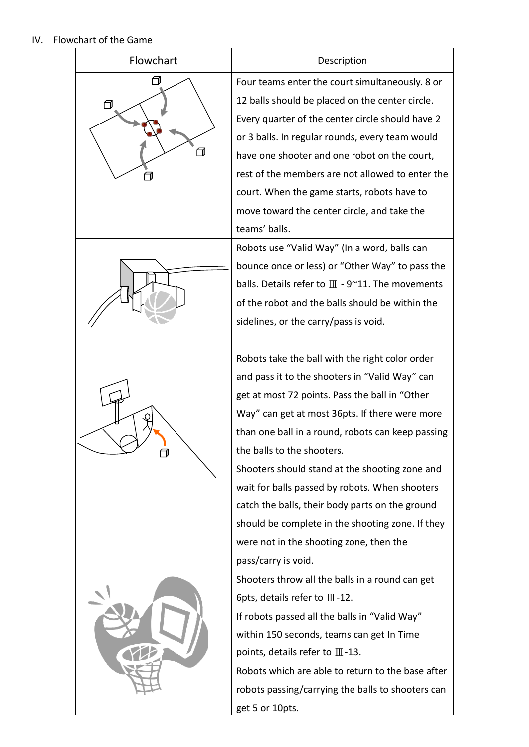## IV. Flowchart of the Game

| Flowchart | Description                                                                                                                                                                                                                                                                                                                                                                                                                                                                                                                                                           |
|-----------|-----------------------------------------------------------------------------------------------------------------------------------------------------------------------------------------------------------------------------------------------------------------------------------------------------------------------------------------------------------------------------------------------------------------------------------------------------------------------------------------------------------------------------------------------------------------------|
| ⋂<br>┓    | Four teams enter the court simultaneously. 8 or<br>12 balls should be placed on the center circle.<br>Every quarter of the center circle should have 2<br>or 3 balls. In regular rounds, every team would<br>have one shooter and one robot on the court,<br>rest of the members are not allowed to enter the<br>court. When the game starts, robots have to<br>move toward the center circle, and take the<br>teams' balls.                                                                                                                                          |
|           | Robots use "Valid Way" (In a word, balls can<br>bounce once or less) or "Other Way" to pass the<br>balls. Details refer to $III - 9$ ~11. The movements<br>of the robot and the balls should be within the<br>sidelines, or the carry/pass is void.                                                                                                                                                                                                                                                                                                                   |
| 同         | Robots take the ball with the right color order<br>and pass it to the shooters in "Valid Way" can<br>get at most 72 points. Pass the ball in "Other<br>Way" can get at most 36pts. If there were more<br>than one ball in a round, robots can keep passing<br>the balls to the shooters.<br>Shooters should stand at the shooting zone and<br>wait for balls passed by robots. When shooters<br>catch the balls, their body parts on the ground<br>should be complete in the shooting zone. If they<br>were not in the shooting zone, then the<br>pass/carry is void. |
|           | Shooters throw all the balls in a round can get<br>6pts, details refer to $III - 12$ .<br>If robots passed all the balls in "Valid Way"<br>within 150 seconds, teams can get In Time<br>points, details refer to $III-13$ .<br>Robots which are able to return to the base after<br>robots passing/carrying the balls to shooters can<br>get 5 or 10pts.                                                                                                                                                                                                              |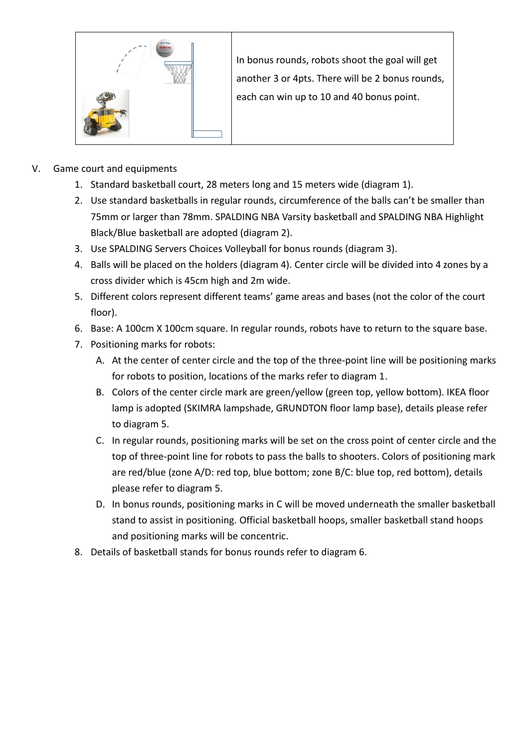

In bonus rounds, robots shoot the goal will get another 3 or 4pts. There will be 2 bonus rounds, each can win up to 10 and 40 bonus point.

- V. Game court and equipments
	- 1. Standard basketball court, 28 meters long and 15 meters wide (diagram 1).
	- 2. Use standard basketballs in regular rounds, circumference of the balls can't be smaller than 75mm or larger than 78mm. SPALDING NBA Varsity basketball and SPALDING NBA Highlight Black/Blue basketball are adopted (diagram 2).
	- 3. Use SPALDING Servers Choices Volleyball for bonus rounds (diagram 3).
	- 4. Balls will be placed on the holders (diagram 4). Center circle will be divided into 4 zones by a cross divider which is 45cm high and 2m wide.
	- 5. Different colors represent different teams' game areas and bases (not the color of the court floor).
	- 6. Base: A 100cm X 100cm square. In regular rounds, robots have to return to the square base.
	- 7. Positioning marks for robots:
		- A. At the center of center circle and the top of the three-point line will be positioning marks for robots to position, locations of the marks refer to diagram 1.
		- B. Colors of the center circle mark are green/yellow (green top, yellow bottom). IKEA floor lamp is adopted (SKIMRA lampshade, GRUNDTON floor lamp base), details please refer to diagram 5.
		- C. In regular rounds, positioning marks will be set on the cross point of center circle and the top of three-point line for robots to pass the balls to shooters. Colors of positioning mark are red/blue (zone A/D: red top, blue bottom; zone B/C: blue top, red bottom), details please refer to diagram 5.
		- D. In bonus rounds, positioning marks in C will be moved underneath the smaller basketball stand to assist in positioning. Official basketball hoops, smaller basketball stand hoops and positioning marks will be concentric.
	- 8. Details of basketball stands for bonus rounds refer to diagram 6.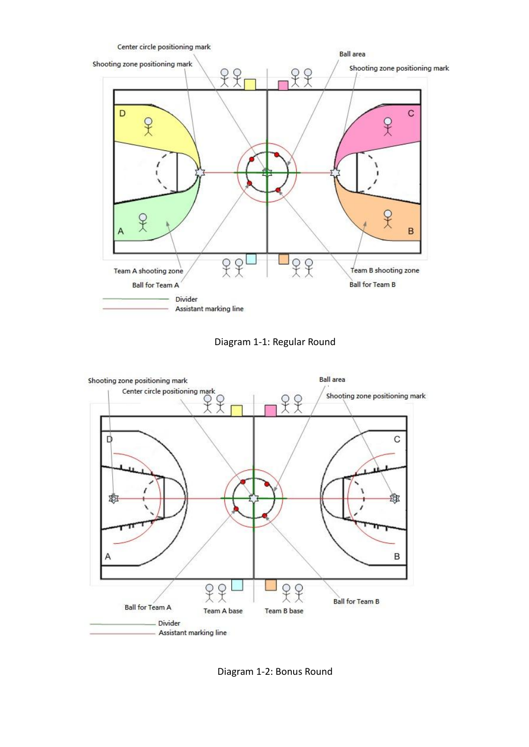

Diagram 1-1: Regular Round



Diagram 1-2: Bonus Round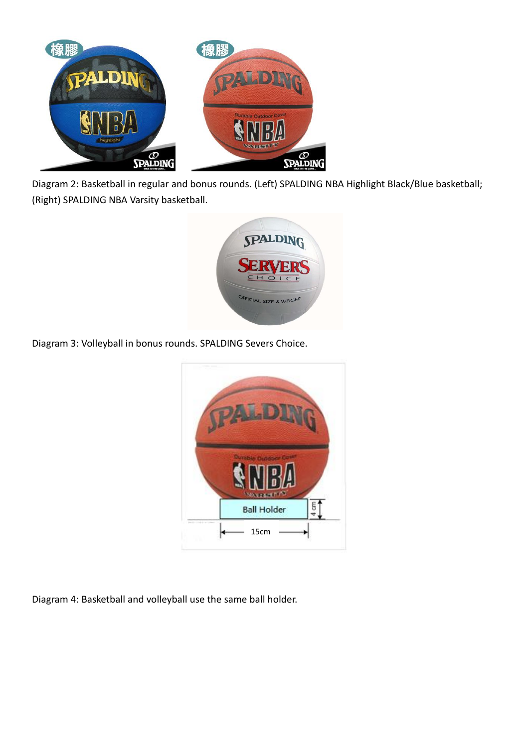

Diagram 2: Basketball in regular and bonus rounds. (Left) SPALDING NBA Highlight Black/Blue basketball; (Right) SPALDING NBA Varsity basketball.



Diagram 3: Volleyball in bonus rounds. SPALDING Severs Choice.



Diagram 4: Basketball and volleyball use the same ball holder.